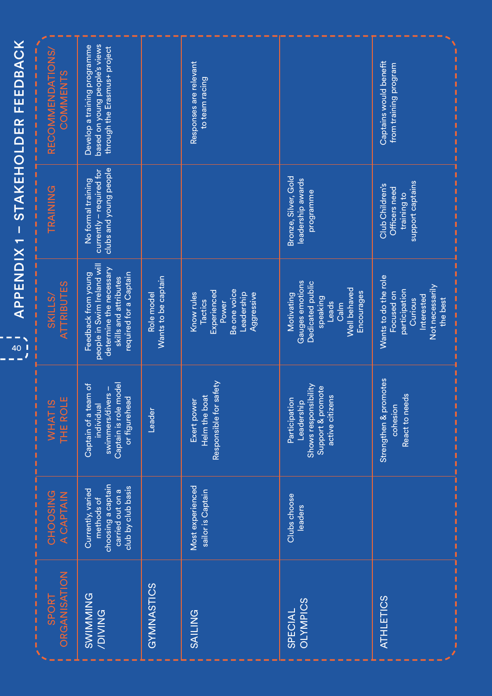| STAKEHOLDER FEEDBACK   | RECOMMENDATIONS/<br>COMMENTS       | based on young people's views<br>Develop a training programme<br>through the Erasmus+ project                                    |                                   | Responses are relevant<br>to team racing                                                                |                                                                                                                     | Captains would benefit<br>from training program                                                                    |
|------------------------|------------------------------------|----------------------------------------------------------------------------------------------------------------------------------|-----------------------------------|---------------------------------------------------------------------------------------------------------|---------------------------------------------------------------------------------------------------------------------|--------------------------------------------------------------------------------------------------------------------|
| J                      | TRAINING                           | clubs and young people<br>currently - required for<br>No formal training                                                         |                                   |                                                                                                         | Bronze, Silver, Gold<br>leadership awards<br>programme                                                              | support captains<br>Club Children's<br>Officers need<br>training to                                                |
| <b>APPENDIX1</b><br>40 | <b>ATTRIBUTES</b><br><b>SKILLS</b> | people in Swim Ireland will<br>determine the necessary<br>Feedback from young<br>required for a Captain<br>skills and attributes | Wants to be captain<br>Role model | Be one voice<br>Experienced<br>Know rules<br>Leadership<br>Aggressive<br><b>Tactics</b><br><b>Power</b> | Gauges emotions<br>Dedicated public<br>Well behaved<br>Encourages<br>Motivating<br><b>speaking</b><br>Leads<br>Calm | Wants to do the role<br>Not necessarily<br>participation<br>Focused on<br>Interested<br><b>Curious</b><br>the best |
|                        | THE ROLE<br>WHAT <sub>1S</sub>     | model<br>Captain of a team of<br>swimmers/divers-<br>or figurehead<br>individual<br>Captain is role                              | Leader                            | Responsible for safety<br>Helm the boat<br>Exert power                                                  | Shows responsibility<br>Support & promote<br>active citizens<br>Participation<br>Leadership                         | Strengthen & promotes<br>React to needs<br>cohesion                                                                |
|                        | CHOOSING<br>A CAPTAIN              | choosing a captain<br>carried out on a<br>club by club basis<br>Currently, varied<br>methods of                                  |                                   | Most experienced<br>sailor is Captain                                                                   | Clubs choose<br>leaders                                                                                             |                                                                                                                    |
|                        | ORGANISATION<br><b>SPORT</b>       | SWIMMING                                                                                                                         | GYMNASTICS                        | SAILING                                                                                                 | <b>OLYMPICS</b><br>SPECIAL                                                                                          | <b>ATHLETICS</b>                                                                                                   |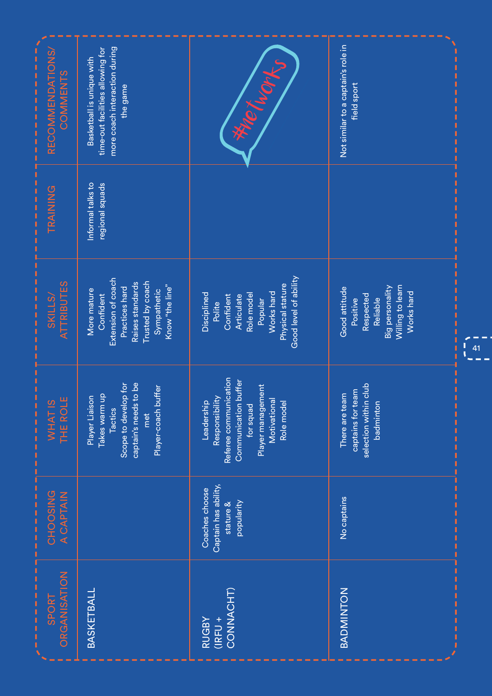| .<br><b>RECOMMENDATIONS/</b><br>COMMENTS           | more coach interaction during<br>time-out facilities allowing for<br>Basketball is unique with<br>the game                                 | <b>We hope</b>                                                                                                                                             | Not similar to a captain's role in<br>field sport                                                       |  |
|----------------------------------------------------|--------------------------------------------------------------------------------------------------------------------------------------------|------------------------------------------------------------------------------------------------------------------------------------------------------------|---------------------------------------------------------------------------------------------------------|--|
| ,,,,,,,,,,,<br>TRAINING                            | Informal talks to<br>regional squads                                                                                                       |                                                                                                                                                            |                                                                                                         |  |
| .<br><b>ATTRIBUTES</b><br><b>SKILLS</b>            | Extension of coach<br>Trusted by coach<br>Raises standards<br>Know "the line"<br>Practices hard<br>Sympathetic<br>More mature<br>Confident | Good level of ability<br>Physical stature<br>Works hard<br>Role model<br>Disciplined<br>Confident<br>Articulate<br>Popular<br>Polite                       | Willing to learn<br>Big personality<br>Good attitude<br>Works hard<br>Respected<br>Reliable<br>Positive |  |
| 11111111111<br>THE ROLE<br>ဖာ<br>WHAT <sub>I</sub> | captain's needs to be<br>Scope to develop for<br>Player-coach buffer<br>Takes warm up<br>Player Liaison<br>Tactics<br>met                  | Leadership<br>Responsibility<br>Referee communication<br>Communication buffer<br>Player management<br>Motivational<br>Role model<br>for squad<br>Leadershi | selection within club<br>captains for team<br>There are team<br>badminton                               |  |
| CHOOSING<br>A CAPTAIN<br>,,,,,,,,,,                |                                                                                                                                            | Captain has ability,<br>Coaches choose<br>popularity<br>stature &                                                                                          | No captains                                                                                             |  |
| ,,,,,,,,,,,<br>ORGANISATION<br><b>SPORT</b>        | BASKETBALL                                                                                                                                 | CONNACHT)<br><b>RUGBY</b><br>$(IRFU +$                                                                                                                     | BADMINTON                                                                                               |  |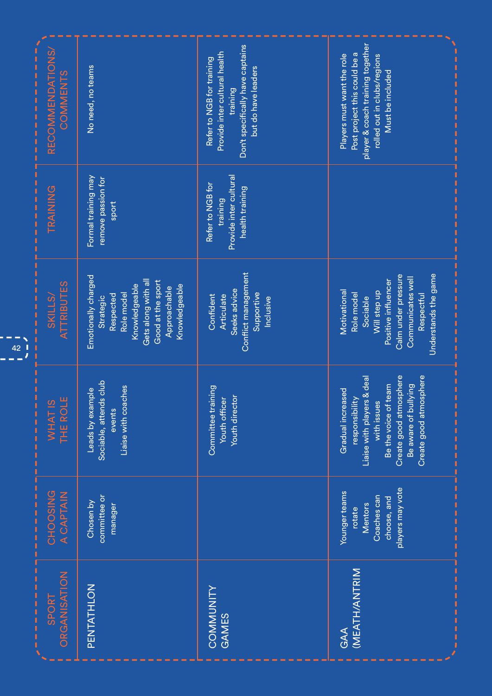| .<br>$\begin{array}{c} 1 \\ 1 \\ 1 \\ 1 \end{array}$<br>Ï<br>42 | RECOMMENDATIONS/<br>COMMENTS       | No need, no teams                                                                                                                                         | Don't specifically have captains<br>Provide inter cultural health<br>Refer to NGB for training<br>but do have leaders<br>training | player & coach training together<br>Post project this could be a<br>Players must want the role<br>rolled out in clubs/regions<br>Must be included                                    |
|-----------------------------------------------------------------|------------------------------------|-----------------------------------------------------------------------------------------------------------------------------------------------------------|-----------------------------------------------------------------------------------------------------------------------------------|--------------------------------------------------------------------------------------------------------------------------------------------------------------------------------------|
|                                                                 | TRAINING                           | Formal training may<br>remove passion for<br>sport                                                                                                        | Provide inter cultural<br>Refer to NGB for<br>health training<br>training                                                         |                                                                                                                                                                                      |
|                                                                 | <b>ATTRIBUTES</b><br><b>SKILLS</b> | Emotionally charged<br>Gets along with all<br>Good at the sport<br>Knowledgeable<br>Knowledgeable<br>Approachable<br>Role model<br>Respected<br>Strategic | Conflict management<br>Seeks advice<br>Supportive<br>Confident<br>Articulate<br>Inclusive                                         | Understands the game<br>Calm under pressure<br>Communicates well<br>Positive influencer<br>Motivational<br>Will step up<br>Role model<br>Respectful<br>Sociable                      |
|                                                                 | ш<br>WHAT <sub>1S</sub><br>THE ROL | Sociable, attends club<br>Liaise with coaches<br>Leads by example<br>events                                                                               | Committee training<br><b>Youth director</b><br>Youth officer                                                                      | Create good atmosphere<br>Create good atmosphere<br>responsibility<br>Liaise with players & deal<br>Be aware of bullying<br>Be the voice of team<br>Gradual increased<br>with issues |
|                                                                 | CHOOSING<br>A CAPTAIN              | committee or<br>Chosen by<br>manager                                                                                                                      |                                                                                                                                   | players may vote<br>Younger teams<br>Coaches can<br>choose, and<br><b>Mentors</b><br>rotate                                                                                          |
|                                                                 | ORGANISATION<br><b>SPORT</b>       | PENTATHLON                                                                                                                                                | COMMUNITY<br>GAMES                                                                                                                | <b>MEATH/ANTRIM</b><br><b>GAA</b>                                                                                                                                                    |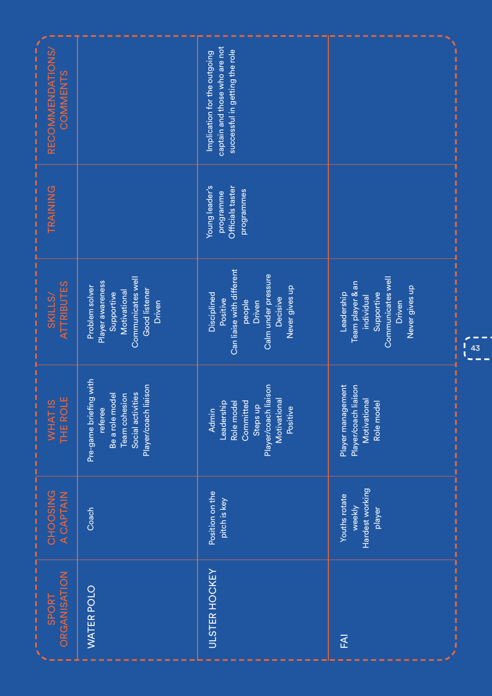| RECOMMENDATIONS/<br>,,,,,,,,,,,,,,,,<br>COMMENTS                                                                      |                                                                                                                    | captain and those who are not<br>successful in getting the role<br>Implication for the outgoing                               |                                                                                                             |                                        |
|-----------------------------------------------------------------------------------------------------------------------|--------------------------------------------------------------------------------------------------------------------|-------------------------------------------------------------------------------------------------------------------------------|-------------------------------------------------------------------------------------------------------------|----------------------------------------|
| ,,,,,,,,,,<br>TRAINING                                                                                                |                                                                                                                    | Young leader's<br>Officials taster<br>programmes<br>programme                                                                 |                                                                                                             |                                        |
| <b>ATTRIBUTES</b><br>$\frac{1}{2}$ = $\frac{1}{2}$ = $\frac{1}{2}$ = $\frac{1}{2}$ = $\frac{1}{2}$ =<br><b>SKILLS</b> | Communicates well<br>Player awareness<br>Problem solver<br>Good listener<br>Motivational<br>Supportive<br>Driven   | Can liaise with different<br>Calm under pressure<br>Never gives up<br>Disciplined<br>Decisive<br>Positive<br>people<br>Driven | Communicates well<br>Team player & an<br>Never gives up<br>Leadership<br>Supportive<br>individual<br>Driven | $\begin{bmatrix} 1 \\ 4 \end{bmatrix}$ |
| Ï<br>WHAT IS<br>THE ROLE<br>,,,,,,,,,,,                                                                               | Pre-game briefing with<br>Player/coach liaison<br>Social activities<br>Be a role model<br>Team cohesion<br>referee | Player/coach liaison<br>Motivational<br>Committed<br>Leadership<br>Role mode<br>Steps up<br>Positive<br><b>Admin</b>          | Player management<br>Player/coach liaison<br>Motivational<br>Role model                                     |                                        |
| CHOOSING<br>A CAPTAIN                                                                                                 | Coach                                                                                                              | Position on the<br>pitch is key                                                                                               | Hardest working<br>Youths rotate<br>weekly<br>player                                                        |                                        |
| ,,,,,,,,,,,,,,<br><b>ORGANISATION</b><br>SPORT                                                                        | WATER POLO                                                                                                         | <b>ULSTER HOCKEY</b>                                                                                                          | FAI                                                                                                         |                                        |